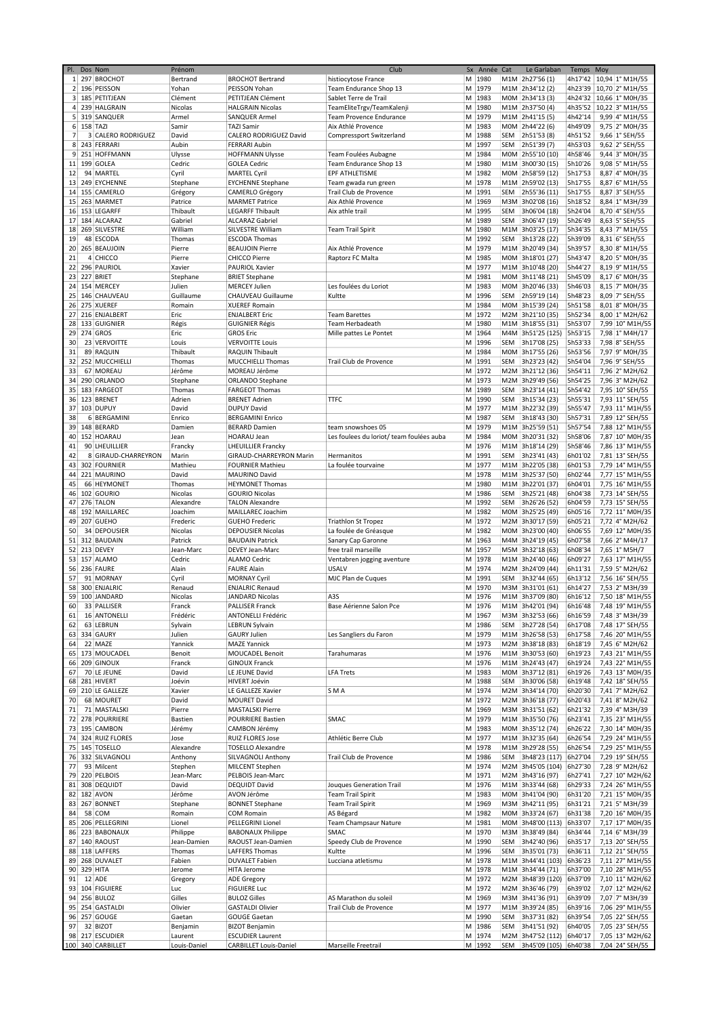| PI.            |                | Dos Nom                 | Prénom       |                               | Club                                     | Sx | Année  | Cat        | Le Garlaban       | Temps   | Moy                         |
|----------------|----------------|-------------------------|--------------|-------------------------------|------------------------------------------|----|--------|------------|-------------------|---------|-----------------------------|
| $1\vert$       |                | 297 BROCHOT             | Bertrand     | <b>BROCHOT Bertrand</b>       | histiocytose France                      | M  | 1980   |            | M1M 2h27'56 (1)   |         | 4h17'42   10,94   1° M1H/55 |
| 2 <sup>1</sup> |                | 196 PEISSON             | Yohan        | PEISSON Yohan                 | Team Endurance Shop 13                   | М  | 1979   |            | M1M 2h34'12 (2)   |         | 4h23'39   10,70   2° M1H/55 |
| $\mathbf{3}$   |                | 185 PETITJEAN           | Clément      | PETITJEAN Clément             | Sablet Terre de Trail                    | M  | 1983   |            | MOM 2h34'13 (3)   | 4h24'32 | 10,66 1° M0H/35             |
| 4              |                | 239 HALGRAIN            | Nicolas      | <b>HALGRAIN Nicolas</b>       | TeamEliteTrgv/TeamKalenji                | M  | 1980   |            | M1M 2h37'50 (4)   | 4h35'52 | 10,22 3° M1H/55             |
| 5              |                | 319 SANQUER             | Armel        | SANQUER Armel                 | Team Provence Endurance                  | M  | 1979   |            | M1M 2h41'15 (5)   | 4h42'14 | 9,99 4° M1H/55              |
|                | 6 158 TAZI     |                         | Samir        | <b>TAZI Samir</b>             | Aix Athlé Provence                       | M  | 1983   |            | M0M 2h44'22 (6)   | 4h49'09 | 9,75 2° M0H/35              |
| 7              | 3 <sup>1</sup> | <b>CALERO RODRIGUEZ</b> | David        | CALERO RODRIGUEZ David        | <b>Compressport Switzerland</b>          | M  | 1988   | <b>SEM</b> | 2h51'53 (8)       | 4h51'52 | 9,66 1° SEH/55              |
|                |                |                         |              |                               |                                          |    |        |            |                   |         |                             |
| 8              |                | 243 FERRARI             | Aubin        | <b>FERRARI Aubin</b>          |                                          | M  | 1997   | <b>SEM</b> | 2h51'39 (7)       | 4h53'03 | 9,62 2° SEH/55              |
| 9              |                | 251 HOFFMANN            | Ulysse       | <b>HOFFMANN Ulysse</b>        | Team Foulées Aubagne                     | M  | 1984   |            | M0M 2h55'10 (10)  | 4h58'46 | 9,44 3° M0H/35              |
| 11             |                | 199 GOLEA               | Cedric       | <b>GOLEA Cedric</b>           | Team Endurance Shop 13                   | M  | 1980   |            | M1M 3h00'30 (15)  | 5h10'26 | 9,08 5° M1H/55              |
| 12             |                | 94 MARTEL               | Cyril        | <b>MARTEL Cyril</b>           | EPF ATHLETISME                           | M  | 1982   |            | M0M 2h58'59 (12)  | 5h17'53 | 8,87 4° M0H/35              |
| 13             |                | 249 EYCHENNE            | Stephane     | <b>EYCHENNE Stephane</b>      | Team gwada run green                     | M  | 1978   |            | M1M 2h59'02 (13)  | 5h17'55 | 8,87 6° M1H/55              |
| 14             |                | 155 CAMERLO             | Grégory      | CAMERLO Grégory               | Trail Club de Provence                   | M  | 1991   | <b>SEM</b> | 2h55'36 (11)      | 5h17'55 | 8,87 3° SEH/55              |
| 15             |                | 263 MARMET              | Patrice      | <b>MARMET Patrice</b>         | Aix Athlé Provence                       | M  | 1969   | M3M        | 3h02'08 (16)      | 5h18'52 | 8,84 1° M3H/39              |
| 16             |                | 153 LEGARFF             | Thibault     | <b>LEGARFF Thibault</b>       | Aix athle trail                          | M  | 1995   | <b>SEM</b> | 3h06'04 (18)      | 5h24'04 | 8,70 4° SEH/55              |
| 17             |                | 184 ALCARAZ             | Gabriel      | <b>ALCARAZ Gabriel</b>        |                                          | M  | 1989   | SEM        | 3h06'47 (19)      | 5h26'49 | 8,63 5° SEH/55              |
|                |                | 269 SILVESTRE           | William      | SILVESTRE William             |                                          | M  | 1980   |            |                   | 5h34'35 |                             |
| 18             |                |                         |              |                               | <b>Team Trail Spirit</b>                 |    |        |            | M1M 3h03'25 (17)  |         | 8,43 7° M1H/55              |
| 19             |                | 48 ESCODA               | Thomas       | <b>ESCODA Thomas</b>          |                                          | M  | 1992   | <b>SEM</b> | 3h13'28 (22)      | 5h39'09 | 8,31 6° SEH/55              |
| 20             |                | 265 BEAUJOIN            | Pierre       | <b>BEAUJOIN Pierre</b>        | Aix Athlé Provence                       | M  | 1979   |            | M1M 3h20'49 (34)  | 5h39'57 | 8,30 8° M1H/55              |
| 21             |                | 4 CHICCO                | Pierre       | <b>CHICCO Pierre</b>          | Raptorz FC Malta                         | M  | 1985   |            | M0M 3h18'01 (27)  | 5h43'47 | 8,20 5° M0H/35              |
| 22             |                | 296 PAURIOL             | Xavier       | PAURIOL Xavier                |                                          | M  | 1977   |            | M1M 3h10'48 (20)  | 5h44'27 | 8,19 9° M1H/55              |
| 23             |                | 227 BRIET               | Stephane     | <b>BRIET Stephane</b>         |                                          | M  | 1981   |            | M0M 3h11'48 (21)  | 5h45'09 | 8,17 6° M0H/35              |
| 24             |                | 154 MERCEY              | Julien       | <b>MERCEY Julien</b>          | Les foulées du Loriot                    | M  | 1983   |            | M0M 3h20'46 (33)  | 5h46'03 | 8,15 7° M0H/35              |
| 25             |                | 146 CHAUVEAU            | Guillaume    | CHAUVEAU Guillaume            | Kultte                                   | M  | 1996   | SEM        | 2h59'19 (14)      | 5h48'23 | 8,09 7° SEH/55              |
|                |                |                         |              |                               |                                          |    |        |            | MOM 3h15'39 (24)  |         |                             |
| 26             |                | 275 XUEREF              | Romain       | <b>XUEREF Romain</b>          |                                          | M  | 1984   |            |                   | 5h51'58 | 8,01 8° M0H/35              |
| 27             |                | 216 ENJALBERT           | Eric         | <b>ENJALBERT Eric</b>         | <b>Team Barettes</b>                     | M  | 1972   |            | M2M 3h21'10 (35)  | 5h52'34 | 8,00 1° M2H/62              |
| 28             |                | 133 GUIGNIER            | Régis        | <b>GUIGNIER Régis</b>         | Team Herbadeath                          | м  | 1980   |            | M1M 3h18'55 (31)  | 5h53'07 | 7,99 10° M1H/55             |
| 29             |                | 274 GROS                | Eric         | <b>GROS Eric</b>              | Mille pattes Le Pontet                   | M  | 1964   |            | M4M 3h51'25 (125) | 5h53'15 | 7,98 1° M4H/17              |
| 30             |                | 23 VERVOITTE            | Louis        | <b>VERVOITTE Louis</b>        |                                          | M  | 1996   | <b>SEM</b> | 3h17'08 (25)      | 5h53'33 | 7,98 8° SEH/55              |
| 31             |                | 89 RAQUIN               | Thibault     | RAQUIN Thibault               |                                          | M  | 1984   |            | M0M 3h17'55 (26)  | 5h53'56 | 7,97 9° M0H/35              |
| 32             |                | 252 MUCCHIELLI          | Thomas       | <b>MUCCHIELLI Thomas</b>      | Trail Club de Provence                   | M  | 1991   | SEM        | 3h23'23 (42)      | 5h54'04 | 7,96 9° SEH/55              |
| 33             |                | 67 MOREAU               | Jérôme       | MOREAU Jérôme                 |                                          | M  | 1972   |            | M2M 3h21'12 (36)  | 5h54'11 | 7,96 2° M2H/62              |
|                |                |                         |              |                               |                                          |    | 1973   |            | M2M 3h29'49 (56)  |         |                             |
| 34             |                | 290 ORLANDO             | Stephane     | <b>ORLANDO Stephane</b>       |                                          | M  |        |            |                   | 5h54'25 | 7,96 3° M2H/62              |
| 35             |                | 183 FARGEOT             | Thomas       | <b>FARGEOT Thomas</b>         |                                          | M  | 1989   | <b>SEM</b> | 3h23'14 (41)      | 5h54'42 | 7,95 10° SEH/55             |
| 36             |                | 123 BRENET              | Adrien       | <b>BRENET Adrien</b>          | <b>TTFC</b>                              | M  | 1990   | SEM        | 3h15'34 (23)      | 5h55'31 | 7,93 11° SEH/55             |
| 37             |                | 103 DUPUY               | David        | <b>DUPUY David</b>            |                                          | M  | 1977   |            | M1M 3h22'32 (39)  | 5h55'47 | 7,93 11° M1H/55             |
| 38             |                | 6 BERGAMINI             | Enrico       | <b>BERGAMINI Enrico</b>       |                                          | M  | 1987   | <b>SEM</b> | 3h18'43 (30)      | 5h57'31 | 7,89 12° SEH/55             |
| 39             |                | 148 BERARD              | Damien       | <b>BERARD Damien</b>          | team snowshoes 05                        | M  | 1979   |            | M1M 3h25'59 (51)  | 5h57'54 | 7,88 12° M1H/55             |
| 40             |                | 152 HOARAU              | Jean         | <b>HOARAU Jean</b>            | Les foulees du loriot/ team foulées auba | M  | 1984   |            | M0M 3h20'31 (32)  | 5h58'06 | 7,87 10° M0H/35             |
|                |                | 90 LHEUILLIER           |              |                               |                                          | M  | 1976   |            | M1M 3h18'14 (29)  | 5h58'46 |                             |
| 41             |                |                         | Francky      | <b>LHEUILLIER Francky</b>     |                                          |    |        |            |                   |         | 7,86 13° M1H/55             |
| 42             |                | 8 GIRAUD-CHARREYRON     | Marin        | GIRAUD-CHARREYRON Marin       | Hermanitos                               | M  | 1991   | <b>SEM</b> | 3h23'41 (43)      | 6h01'02 | 7,81 13° SEH/55             |
| 43             |                | 302 FOURNIER            | Mathieu      | <b>FOURNIER Mathieu</b>       | La foulée tourvaine                      | M  | 1977   |            | M1M 3h22'05 (38)  | 6h01'53 | 7,79 14° M1H/55             |
| 44             |                | 221 MAURINO             | David        | <b>MAURINO David</b>          |                                          | M  | 1978   |            | M1M 3h25'37 (50)  | 6h02'44 | 7,77 15° M1H/55             |
| 45             |                | 66 HEYMONET             | Thomas       | <b>HEYMONET Thomas</b>        |                                          | M  | 1980   |            | M1M 3h22'01 (37)  | 6h04'01 | 7,75 16° M1H/55             |
| 46             |                | 102 GOURIO              | Nicolas      | <b>GOURIO Nicolas</b>         |                                          | M  | 1986   | SEM        | 3h25'21 (48)      | 6h04'38 | 7,73 14° SEH/55             |
| 47             |                | 276 TALON               | Alexandre    | <b>TALON Alexandre</b>        |                                          | M  | 1992   | <b>SEM</b> | 3h26'26 (52)      | 6h04'59 | 7,73 15° SEH/55             |
| 48             |                | 192 MAILLAREC           | Joachim      | MAILLAREC Joachim             |                                          | M  | 1982   |            | MOM 3h25'25 (49)  | 6h05'16 | 7,72 11° M0H/35             |
|                |                | 207 GUEHO               |              |                               |                                          | M  | 1972   |            | M2M 3h30'17 (59)  | 6h05'21 | 7,72 4° M2H/62              |
| 49             |                |                         | Frederic     | <b>GUEHO Frederic</b>         | <b>Triathlon St Tropez</b>               |    |        |            |                   |         |                             |
| 50             |                | 34 DEPOUSIER            | Nicolas      | <b>DEPOUSIER Nicolas</b>      | La foulée de Gréasque                    | M  | 1982   |            | M0M 3h23'00 (40)  | 6h06'55 | 7,69 12° M0H/35             |
| 51             |                | 312 BAUDAIN             | Patrick      | <b>BAUDAIN Patrick</b>        | Sanary Cap Garonne                       | M  | 1963   |            | M4M 3h24'19 (45)  | 6h07'58 | 7,66 2° M4H/17              |
| 52             |                | 213 DEVEY               | Jean-Marc    | DEVEY Jean-Marc               | free trail marseille                     | M  | 1957   |            | M5M 3h32'18 (63)  | 6h08'34 | 7,65 1° M5H/7               |
| 53             |                | 157 ALAMO               | Cedric       | <b>ALAMO Cedric</b>           | Ventabren jogging aventure               | М  | 1978   |            | M1M 3h24'40 (46)  | 6h09'27 | 7,63 17° M1H/55             |
| 56             |                | 236 FAURE               | Alain        | <b>FAURE Alain</b>            | <b>USALV</b>                             | M  | 1974   |            | M2M 3h24'09 (44)  | 6h11'31 | 7,59 5° M2H/62              |
| 57             |                | 91 MORNAY               | Cyril        | <b>MORNAY Cyril</b>           | MJC Plan de Cuques                       | M  | 1991   | SEM        | 3h32'44 (65)      | 6h13'12 | 7,56 16° SEH/55             |
| 58             |                | 300 ENJALRIC            | Renaud       | <b>ENJALRIC Renaud</b>        |                                          | M  | 1970   |            | M3M 3h31'01 (61)  | 6h14'27 | 7,53 2° M3H/39              |
| 59             |                | 100 JANDARD             | Nicolas      | <b>JANDARD Nicolas</b>        | A3S                                      | M  | 1976   |            | M1M 3h37'09 (80)  | 6h16'12 | 7,50 18° M1H/55             |
|                |                |                         |              |                               | Base Aérienne Salon Pce                  |    |        |            |                   |         | 7,48 19° M1H/55             |
| 60             |                | 33 PALLISER             | Franck       | PALLISER Franck               |                                          | м  | 1976   |            | M1M 3h42'01 (94)  | 6h16'48 |                             |
| 61             |                | 16 ANTONELLI            | Frédéric     | ANTONELLI Frédéric            |                                          | м  | 1967   |            | M3M 3h32'53 (66)  | 6h16'59 | 7,48 3° M3H/39              |
| 62             |                | 63 LEBRUN               | Sylvain      | LEBRUN Sylvain                |                                          |    | M 1986 | SEM        | 3h27'28 (54)      | 6h17'08 | 7,48 17° SEH/55             |
| 63             |                | 334 GAURY               | Julien       | <b>GAURY Julien</b>           | Les Sangliers du Faron                   | М  | 1979   |            | M1M 3h26'58 (53)  | 6h17'58 | 7,46 20° M1H/55             |
| 64             |                | 22 MAZE                 | Yannick      | <b>MAZE Yannick</b>           |                                          | М  | 1973   |            | M2M 3h38'18 (83)  | 6h18'19 | 7,45 6° M2H/62              |
|                |                | 65 173 MOUCADEL         | Benoit       | MOUCADEL Benoit               | Tarahumaras                              | м  | 1976   |            | M1M 3h30'53 (60)  | 6h19'23 | 7,43 21° M1H/55             |
| 66             |                | 209 GINOUX              | Franck       | <b>GINOUX Franck</b>          |                                          | М  | 1976   |            | M1M 3h24'43 (47)  | 6h19'24 | 7,43 22° M1H/55             |
| 67             |                | 70 LE JEUNE             | David        | LE JEUNE David                | <b>LFA Trets</b>                         | M  | 1983   |            | MOM 3h37'12 (81)  | 6h19'26 | 7,43 13° M0H/35             |
| 68             |                | 281 HIVERT              | Joévin       | HIVERT Joévin                 |                                          | М  | 1988   | SEM        | 3h30'06 (58)      | 6h19'48 | 7,42 18° SEH/55             |
| 69             |                | 210 LE GALLEZE          | Xavier       | LE GALLEZE Xavier             | SMA                                      | М  | 1974   |            | M2M 3h34'14 (70)  | 6h20'30 | 7,41 7° M2H/62              |
|                |                | 68 MOURET               | David        |                               |                                          |    | 1972   |            | M2M 3h36'18 (77)  | 6h20'43 | 7,41 8° M2H/62              |
| 70             |                |                         |              | <b>MOURET David</b>           |                                          | м  |        |            |                   |         |                             |
| 71             |                | 71 MASTALSKI            | Pierre       | <b>MASTALSKI Pierre</b>       |                                          | M  | 1969   |            | M3M 3h31'51 (62)  | 6h21'32 | 7,39 4° M3H/39              |
| 72             |                | 278 POURRIERE           | Bastien      | <b>POURRIERE Bastien</b>      | SMAC                                     | M  | 1979   |            | M1M 3h35'50 (76)  | 6h23'41 | 7,35 23° M1H/55             |
|                |                | 73 195 CAMBON           | Jérémy       | CAMBON Jérémy                 |                                          | М  | 1983   |            | M0M 3h35'12 (74)  | 6h26'22 | 7,30 14° M0H/35             |
|                |                | 74 324 RUIZ FLORES      | Jose         | <b>RUIZ FLORES Jose</b>       | Athlétic Berre Club                      | М  | 1977   |            | M1M 3h32'35 (64)  | 6h26'54 | 7,29 24° M1H/55             |
|                |                | 75 145 TOSELLO          | Alexandre    | <b>TOSELLO Alexandre</b>      |                                          | М  | 1978   |            | M1M 3h29'28 (55)  | 6h26'54 | 7,29 25° M1H/55             |
| 76             |                | 332 SILVAGNOLI          | Anthony      | SILVAGNOLI Anthony            | Trail Club de Provence                   | М  | 1986   | SEM        | 3h48'23 (117)     | 6h27'04 | 7,29 19° SEH/55             |
| 77             |                | 93 Milcent              | Stephen      | <b>MILCENT Stephen</b>        |                                          | М  | 1974   |            | M2M 3h45'05 (104) | 6h27'30 | 7,28 9° M2H/62              |
| 79             |                | 220 PELBOIS             | Jean-Marc    | PELBOIS Jean-Marc             |                                          | M  | 1971   |            | M2M 3h43'16 (97)  | 6h27'41 | 7,27 10° M2H/62             |
| 81             |                | 308 DEQUIDT             | David        | <b>DEQUIDT David</b>          | Jouques Generation Trail                 | М  | 1976   |            | M1M 3h33'44 (68)  | 6h29'33 | 7,24 26° M1H/55             |
|                |                |                         |              |                               |                                          |    |        |            |                   |         |                             |
| 82             |                | 182 AVON                | Jérôme       | AVON Jérôme                   | <b>Team Trail Spirit</b>                 | М  | 1983   |            | MOM 3h41'04 (90)  | 6h31'20 | 7,21 15° M0H/35             |
| 83             |                | 267 BONNET              | Stephane     | <b>BONNET Stephane</b>        | Team Trail Spirit                        | M  | 1969   |            | M3M 3h42'11 (95)  | 6h31'21 | 7,21 5° M3H/39              |
| 84             |                | 58 COM                  | Romain       | <b>COM Romain</b>             | AS Bégard                                | M  | 1982   |            | M0M 3h33'24 (67)  | 6h31'38 | 7,20 16° M0H/35             |
| 85             |                | 206 PELLEGRINI          | Lionel       | PELLEGRINI Lionel             | Team Champsaur Nature                    | М  | 1981   |            | M0M 3h48'00 (113) | 6h33'07 | 7,17 17° M0H/35             |
|                |                | 86 223 BABONAUX         | Philippe     | <b>BABONAUX Philippe</b>      | SMAC                                     | М  | 1970   |            | M3M 3h38'49 (84)  | 6h34'44 | 7,14 6° M3H/39              |
| 87             |                | 140 RAOUST              | Jean-Damien  | RAOUST Jean-Damien            | Speedy Club de Provence                  | м  | 1990   | SEM        | 3h42'40 (96)      | 6h35'17 | 7,13 20° SEH/55             |
| 88             |                | 118 LAFFERS             | Thomas       | LAFFERS Thomas                | Kultte                                   | М  | 1996   | SEM        | 3h35'01 (73)      | 6h36'11 | 7,12 21° SEH/55             |
| 89             |                | 268 DUVALET             | Fabien       | <b>DUVALET Fabien</b>         | Lucciana atletismu                       | М  | 1978   |            | M1M 3h44'41 (103) | 6h36'23 | 7,11 27° M1H/55             |
|                | 90 329 HITA    |                         | Jerome       | <b>HITA Jerome</b>            |                                          | М  | 1978   |            | M1M 3h34'44 (71)  | 6h37'00 | 7,10 28° M1H/55             |
|                |                |                         |              |                               |                                          |    |        |            |                   |         |                             |
| 91             |                | 12 ADE                  | Gregory      | <b>ADE Gregory</b>            |                                          | М  | 1972   |            | M2M 3h48'39 (120) | 6h37'09 | 7,10 11° M2H/62             |
|                |                | 93 104 FIGUIERE         | Luc          | <b>FIGUIERE Luc</b>           |                                          | M  | 1972   |            | M2M 3h36'46 (79)  | 6h39'02 | 7,07 12° M2H/62             |
|                |                | 94 256 BULOZ            | Gilles       | <b>BULOZ Gilles</b>           | AS Marathon du soleil                    | M  | 1969   |            | M3M 3h41'36 (91)  | 6h39'09 | 7,07 7° M3H/39              |
| 95             |                | 254 GASTALDI            | Olivier      | <b>GASTALDI Olivier</b>       | Trail Club de Provence                   | M  | 1977   |            | M1M 3h39'24 (85)  | 6h39'16 | 7,06 29° M1H/55             |
| 96             |                | 257 GOUGE               | Gaetan       | <b>GOUGE Gaetan</b>           |                                          | М  | 1990   | SEM        | 3h37'31 (82)      | 6h39'54 | 7,05 22° SEH/55             |
| 97             |                | 32 BIZOT                | Benjamin     | <b>BIZOT Benjamin</b>         |                                          | М  | 1986   | SEM        | 3h41'51 (92)      | 6h40'05 | 7,05 23° SEH/55             |
|                |                | 98 217 ESCUDIER         | Laurent      | <b>ESCUDIER Laurent</b>       |                                          |    | M 1974 |            | M2M 3h47'52 (112) | 6h40'17 | 7,05 13° M2H/62             |
|                |                | 100 340 CARBILLET       | Louis-Daniel | <b>CARBILLET Louis-Daniel</b> | Marseille Freetrail                      |    | M 1992 | SEM        | 3h45'09 (105)     | 6h40'38 | 7,04 24° SEH/55             |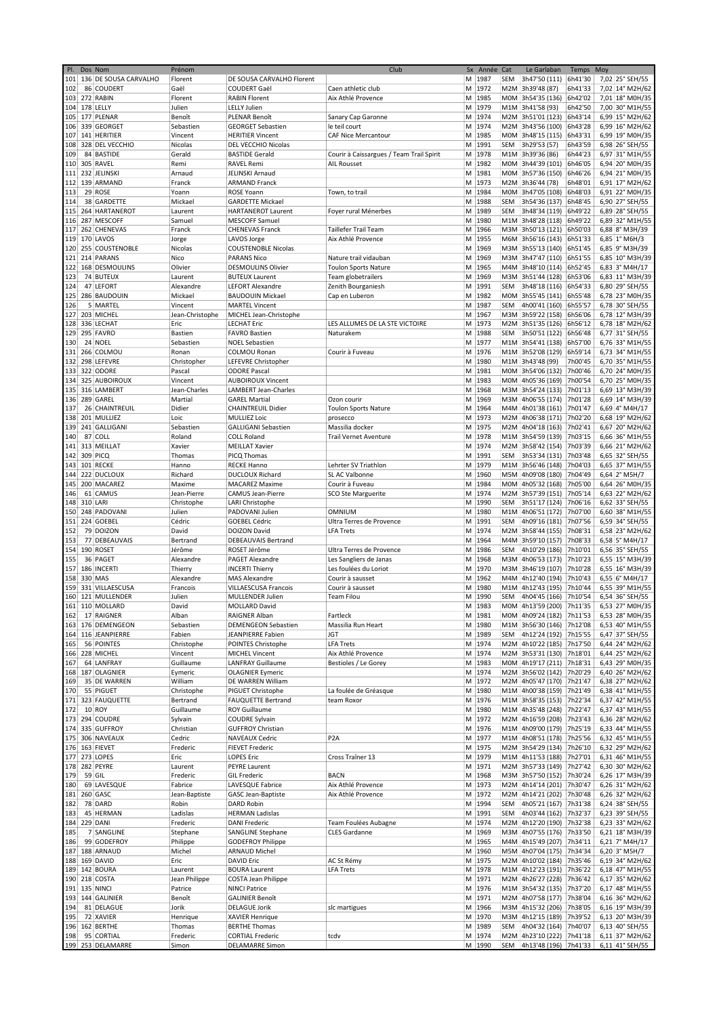| PI. | Dos Nom  |                           | Prénom          |                             | Club                                     | Sx<br>Année | Cat        | Le Garlaban               | Temps   | Moy             |
|-----|----------|---------------------------|-----------------|-----------------------------|------------------------------------------|-------------|------------|---------------------------|---------|-----------------|
|     |          | 101 136 DE SOUSA CARVALHO | Florent         | DE SOUSA CARVALHO Florent   |                                          | M 1987      | SEM        | 3h47'50 (111)             | 6h41'30 | 7,02 25° SEH/55 |
| 102 |          | 86 COUDERT                | Gaël            | COUDERT Gaël                | Caen athletic club                       | M<br>1972   | M2M        | 3h39'48 (87)              | 6h41'33 | 7,02 14° M2H/62 |
|     |          | 103 272 RABIN             |                 |                             |                                          |             |            |                           |         |                 |
|     |          |                           | Florent         | <b>RABIN Florent</b>        | Aix Athlé Provence                       | м<br>1985   | MOM        | 3h54'35 (136)             | 6h42'02 | 7,01 18° M0H/35 |
|     |          | 104 178 LELLY             | Julien          | <b>LELLY Julien</b>         |                                          | 1979<br>M   |            | M1M 3h41'58 (93)          | 6h42'50 | 7,00 30° M1H/55 |
| 105 |          | 177 PLENAR                | Benoît          | PLENAR Benoît               | Sanary Cap Garonne                       | 1974<br>M   |            | M2M 3h51'01 (123)         | 6h43'14 | 6,99 15° M2H/62 |
| 106 |          | 339 GEORGET               | Sebastien       | <b>GEORGET Sebastien</b>    | le teil court                            | М<br>1974   |            | M2M 3h43'56 (100)         | 6h43'28 | 6,99 16° M2H/62 |
| 107 |          | 141 HERITIER              | Vincent         | <b>HERITIER Vincent</b>     | CAF Nice Mercantour                      | 1985<br>м   | MOM        | 3h48'15 (115)             | 6h43'31 | 6,99 19° M0H/35 |
|     |          |                           |                 |                             |                                          |             |            |                           |         |                 |
| 108 |          | 328 DEL VECCHIO           | Nicolas         | DEL VECCHIO Nicolas         |                                          | М<br>1991   | SEM        | 3h29'53 (57)              | 6h43'59 | 6,98 26° SEH/55 |
| 109 |          | 84 BASTIDE                | Gerald          | <b>BASTIDE Gerald</b>       | Courir à Caissargues / Team Trail Spirit | 1978<br>M   |            | M1M 3h39'36 (86)          | 6h44'23 | 6,97 31° M1H/55 |
| 110 |          | 305 RAVEL                 | Remi            | <b>RAVEL Remi</b>           | AIL Rousset                              | 1982<br>М   | M0M        | 3h44'39 (101)             | 6h46'05 | 6,94 20° M0H/35 |
| 111 |          | 232 JELINSKI              | Arnaud          | JELINSKI Arnaud             |                                          | M<br>1981   |            | M0M 3h57'36 (150)         | 6h46'26 | 6,94 21° M0H/35 |
| 112 |          | 139 ARMAND                | Franck          | <b>ARMAND Franck</b>        |                                          | M<br>1973   |            | M2M 3h36'44 (78)          | 6h48'01 | 6,91 17° M2H/62 |
|     |          |                           |                 |                             |                                          |             |            |                           |         |                 |
| 113 |          | 29 ROSE                   | Yoann           | <b>ROSE Yoann</b>           | Town, to trail                           | M<br>1984   | MOM        | 3h47'05 (108)             | 6h48'03 | 6,91 22° M0H/35 |
| 114 |          | 38 GARDETTE               | Mickael         | <b>GARDETTE Mickael</b>     |                                          | 1988<br>М   | <b>SEM</b> | 3h54'36 (137)             | 6h48'45 | 6,90 27° SEH/55 |
| 115 |          | 264 HARTANEROT            | Laurent         | <b>HARTANEROT Laurent</b>   | Foyer rural Ménerbes                     | 1989<br>м   | SEM        | 3h48'34 (119)             | 6h49'22 | 6,89 28° SEH/55 |
| 116 |          | 287 MESCOFF               | Samuel          | <b>MESCOFF Samuel</b>       |                                          | М<br>1980   |            | M1M 3h48'28 (118)         | 6h49'22 | 6,89 32° M1H/55 |
| 117 |          | 262 CHENEVAS              | Franck          | <b>CHENEVAS Franck</b>      | <b>Taillefer Trail Team</b>              | 1966<br>м   | M3M        | 3h50'13 (121)             | 6h50'03 | 6,88 8° M3H/39  |
|     |          |                           |                 |                             |                                          |             |            |                           |         |                 |
| 119 |          | 170 LAVOS                 | Jorge           | LAVOS Jorge                 | Aix Athlé Provence                       | M<br>1955   | M6M        | 3h56'16 (143)             | 6h51'33 | 6,85 1° M6H/3   |
| 120 |          | 255 COUSTENOBLE           | Nicolas         | <b>COUSTENOBLE Nicolas</b>  |                                          | 1969<br>M   |            | M3M 3h55'13 (140)         | 6h51'45 | 6,85 9° M3H/39  |
| 121 |          | 214 PARANS                | Nico            | <b>PARANS Nico</b>          | Nature trail vidauban                    | 1969<br>М   | мзм        | 3h47'47 (110)             | 6h51'55 | 6,85 10° M3H/39 |
| 122 |          | 168 DESMOULINS            | Olivier         | <b>DESMOULINS Olivier</b>   | <b>Toulon Sports Nature</b>              | М<br>1965   |            | M4M 3h48'10 (114)         | 6h52'45 | 6,83 3° M4H/17  |
|     |          |                           |                 |                             |                                          |             |            |                           |         |                 |
| 123 |          | 74 BUTEUX                 | Laurent         | <b>BUTEUX Laurent</b>       | Team globetrailers                       | м<br>1969   | мзм        | 3h51'44 (128)             | 6h53'06 | 6,83 11° M3H/39 |
| 124 |          | 47 LEFORT                 | Alexandre       | <b>LEFORT Alexandre</b>     | Zenith Bourganiesh                       | M<br>1991   | SEM        | 3h48'18 (116)             | 6h54'33 | 6,80 29° SEH/55 |
| 125 |          | 286 BAUDOUIN              | Mickael         | <b>BAUDOUIN Mickael</b>     | Cap en Luberon                           | 1982<br>M   | MOM        | 3h55'45 (141)             | 6h55'48 | 6,78 23° M0H/35 |
| 126 |          | 5 MARTEL                  | Vincent         | <b>MARTEL Vincent</b>       |                                          | 1987<br>M   | <b>SEM</b> | 4h00'41 (160)             | 6h55'57 | 6,78 30° SEH/55 |
| 127 |          | 203 MICHEL                | Jean-Christophe | MICHEL Jean-Christophe      |                                          | М<br>1967   |            | M3M 3h59'22 (158)         | 6h56'06 | 6,78 12° M3H/39 |
|     |          | 336 LECHAT                |                 |                             |                                          |             |            |                           |         |                 |
| 128 |          |                           | Eric            | <b>LECHAT Eric</b>          | LES ALLUMES DE LA STE VICTOIRE           | М<br>1973   | M2M        | 3h51'35 (126)             | 6h56'12 | 6,78 18° M2H/62 |
| 129 |          | 295 FAVRO                 | <b>Bastien</b>  | <b>FAVRO Bastien</b>        | Naturakem                                | М<br>1988   | SEM        | 3h50'51 (122)             | 6h56'48 | 6,77 31° SEH/55 |
| 130 |          | 24 NOEL                   | Sebastien       | <b>NOEL Sebastien</b>       |                                          | 1977<br>M   |            | M1M 3h54'41 (138)         | 6h57'00 | 6,76 33° M1H/55 |
| 131 |          | 266 COLMOU                | Ronan           | <b>COLMOU Ronan</b>         | Courir à Fuveau                          | 1976<br>М   | M1M        | 3h52'08 (129)             | 6h59'14 | 6,73 34° M1H/55 |
| 132 |          | 298 LEFEVRE               | Christopher     | LEFEVRE Christopher         |                                          | 1980<br>М   |            | M1M 3h43'48 (99)          | 7h00'45 | 6,70 35° M1H/55 |
|     |          |                           |                 |                             |                                          |             |            |                           |         |                 |
| 133 |          | 322 ODORE                 | Pascal          | <b>ODORE Pascal</b>         |                                          | м<br>1981   |            | M0M 3h54'06 (132)         | 7h00'46 | 6,70 24° M0H/35 |
| 134 |          | 325 AUBOIROUX             | Vincent         | <b>AUBOIROUX Vincent</b>    |                                          | M<br>1983   | MOM        | 4h05'36 (169)             | 7h00'54 | 6,70 25° M0H/35 |
| 135 |          | 316 LAMBERT               | Jean-Charles    | LAMBERT Jean-Charles        |                                          | м<br>1968   |            | M3M 3h54'24 (133)         | 7h01'13 | 6,69 13° M3H/39 |
| 136 |          | 289 GAREL                 | Martial         | <b>GAREL Martial</b>        | Ozon courir                              | 1969<br>м   | M3M        | 4h06'55 (174)             | 7h01'28 | 6,69 14° M3H/39 |
| 137 |          | 26 CHAINTREUIL            | Didier          | <b>CHAINTREUIL Didier</b>   | <b>Toulon Sports Nature</b>              | М<br>1964   | M4M        | 4h01'38 (161)             | 7h01'47 | 6,69 4° M4H/17  |
|     |          |                           |                 |                             |                                          |             |            |                           |         |                 |
| 138 |          | 201 MULLIEZ               | Loic            | <b>MULLIEZ Loic</b>         | prosecco                                 | М<br>1973   | M2M        | 4h06'38 (171)             | 7h02'20 | 6,68 19° M2H/62 |
| 139 |          | 241 GALLIGANI             | Sebastien       | <b>GALLIGANI Sebastien</b>  | Massilia docker                          | М<br>1975   | M2M        | 4h04'18 (163)             | 7h02'41 | 6,67 20° M2H/62 |
| 140 |          | 87 COLL                   | Roland          | <b>COLL Roland</b>          | <b>Trail Vernet Aventure</b>             | 1978<br>M   |            | M1M 3h54'59 (139)         | 7h03'15 | 6,66 36° M1H/55 |
| 141 |          | 313 MEILLAT               | Xavier          | <b>MEILLAT Xavier</b>       |                                          | 1974<br>М   | M2M        | 3h58'42 (154)             | 7h03'39 | 6,66 21° M2H/62 |
|     | 309 PICQ |                           | Thomas          |                             |                                          | 1991<br>М   | SEM        | 3h53'34 (131)             | 7h03'48 | 6,65 32° SEH/55 |
| 142 |          |                           |                 | PICQ Thomas                 |                                          |             |            |                           |         |                 |
| 143 |          | 101 RECKE                 | Hanno           | <b>RECKE Hanno</b>          | Lehrter SV Triathlon                     | M<br>1979   | M1M        | 3h56'46 (148)             | 7h04'03 | 6,65 37° M1H/55 |
| 144 |          | 222 DUCLOUX               | Richard         | <b>DUCLOUX Richard</b>      | SL AC Valbonne                           | M<br>1960   | M5M        | 4h09'08 (180)             | 7h04'49 | 6,64 2° M5H/7   |
| 145 |          | 200 MACAREZ               | Maxime          | <b>MACAREZ Maxime</b>       | Courir à Fuveau                          | 1984<br>м   |            | M0M 4h05'32 (168)         | 7h05'00 | 6,64 26° M0H/35 |
| 146 |          | 61 CAMUS                  | Jean-Pierre     | CAMUS Jean-Pierre           | SCO Ste Marguerite                       | 1974<br>M   | M2M        | 3h57'39 (151)             | 7h05'14 | 6,63 22° M2H/62 |
| 148 | 310 LARI |                           | Christophe      | LARI Christophe             |                                          | М<br>1990   | SEM        | 3h51'17 (124) 7h06'16     |         | 6,62 33° SEH/55 |
|     |          |                           |                 |                             |                                          |             |            |                           |         |                 |
| 150 |          | 248 PADOVANI              | Julien          | PADOVANI Julien             | <b>OMNIUM</b>                            | M<br>1980   | M1M        | 4h06'51 (172)             | 7h07'00 | 6,60 38° M1H/55 |
| 151 |          | 224 GOEBEL                | Cédric          | <b>GOEBEL Cédric</b>        | Ultra Terres de Provence                 | 1991<br>м   | <b>SEM</b> | 4h09'16 (181)             | 7h07'56 | 6,59 34° SEH/55 |
| 152 |          | 79 DOIZON                 | David           | <b>DOIZON David</b>         | <b>LFA Trets</b>                         | 1974<br>M   |            | M2M 3h58'44 (155)         | 7h08'31 | 6,58 23° M2H/62 |
| 153 |          | 77 DEBEAUVAIS             | Bertrand        | DEBEAUVAIS Bertrand         |                                          | 1964<br>м   | M4M        | 3h59'10 (157)             | 7h08'33 | 6,58 5° M4H/17  |
|     |          | 190 ROSET                 | Jérôme          | ROSET Jérôme                | Ultra Terres de Provence                 | М<br>1986   | SEM        | 4h10'29 (186)             | 7h10'01 |                 |
| 154 |          |                           |                 |                             |                                          |             |            |                           |         | 6,56 35° SEH/55 |
| 155 |          | 36 PAGET                  | Alexandre       | <b>PAGET Alexandre</b>      | Les Sangliers de Janas                   | м<br>1968   | мзм        | 4h06'53 (173)             | 7h10'23 | 6,55 15° M3H/39 |
| 157 |          | 186 INCERTI               | Thierry         | <b>INCERTI Thierry</b>      | Les foulées du Loriot                    | 1970<br>M   | мзм        | 3h46'19 (107)             | 7h10'28 | 6,55 16° M3H/39 |
| 158 | 330 MAS  |                           | Alexandre       | <b>MAS Alexandre</b>        | Courir à sausset                         | 1962<br>м   |            | M4M 4h12'40 (194)         | 7h10'43 | 6,55 6° M4H/17  |
| 159 |          | 331 VILLAESCUSA           | Francois        | <b>VILLAESCUSA Francois</b> | Courir à sausset                         | 1980<br>M   |            | M1M 4h12'43 (195)         | 7h10'44 | 6,55 39° M1H/55 |
|     |          | 160 121 MULLENDER         |                 |                             |                                          | 1990        | <b>SEM</b> | 4h04'45 (166) 7h10'54     |         | 6,54 36° SEH/55 |
|     |          |                           | Julien          | MULLENDER Julien            | Team Filou                               | М           |            |                           |         |                 |
|     |          | 161 110 MOLLARD           | David           | MOLLARD David               |                                          | М<br>1983   |            | M0M 4h13'59 (200) 7h11'35 |         | 6,53 27° M0H/35 |
| 162 |          | 17 RAIGNER                | Alban           | RAIGNER Alban               | Fartleck                                 | M 1981      |            | M0M 4h09'24 (182) 7h11'53 |         | 6,53 28° M0H/35 |
|     |          | 163 176 DEMENGEON         | Sebastien       | <b>DEMENGEON Sebastien</b>  | Massilia Run Heart                       | M 1980      |            | M1M 3h56'30 (146) 7h12'08 |         | 6,53 40° M1H/55 |
|     |          | 164 116 JEANPIERRE        | Fabien          | JEANPIERRE Fabien           | JGT                                      | 1989<br>м   | SEM        | 4h12'24 (192) 7h15'55     |         | 6,47 37° SEH/55 |
| 165 |          | 56 POINTES                | Christophe      | POINTES Christophe          | <b>LFA Trets</b>                         | 1974<br>м   |            | M2M 4h10'22 (185)         | 7h17'50 | 6,44 24° M2H/62 |
|     |          |                           |                 |                             |                                          |             |            |                           |         |                 |
|     |          | 166 228 MICHEL            | Vincent         | <b>MICHEL Vincent</b>       | Aix Athlé Provence                       | M 1974      |            | M2M 3h53'31 (130)         | 7h18'01 | 6,44 25° M2H/62 |
| 167 |          | 64 LANFRAY                | Guillaume       | <b>LANFRAY Guillaume</b>    | Bestioles / Le Gorey                     | 1983<br>M   |            | M0M 4h19'17 (211)         | 7h18'31 | 6,43 29° M0H/35 |
|     |          | 168 187 OLAGNIER          | Eymeric         | <b>OLAGNIER Eymeric</b>     |                                          | M 1974      |            | M2M 3h56'02 (142)         | 7h20'29 | 6,40 26° M2H/62 |
| 169 |          | 35 DE WARREN              | William         | DE WARREN William           |                                          | M 1972      |            | M2M 4h05'47 (170) 7h21'47 |         | 6,38 27° M2H/62 |
| 170 |          | 55 PIGUET                 | Christophe      | PIGUET Christophe           | La foulée de Gréasque                    | 1980<br>М   |            | M1M 4h00'38 (159) 7h21'49 |         | 6,38 41° M1H/55 |
| 171 |          | 323 FAUQUETTE             | Bertrand        | FAUQUETTE Bertrand          | team Roxor                               | M 1976      |            | M1M 3h58'35 (153)         | 7h22'34 | 6,37 42° M1H/55 |
|     |          |                           |                 |                             |                                          |             |            |                           |         |                 |
| 172 |          | 10 ROY                    | Guillaume       | <b>ROY Guillaume</b>        |                                          | M   1980    |            | M1M 4h35'48 (248)         | 7h22'47 | 6,37 43° M1H/55 |
| 173 |          | 294 COUDRE                | Sylvain         | <b>COUDRE Sylvain</b>       |                                          | M 1972      |            | M2M 4h16'59 (208)         | 7h23'43 | 6,36 28° M2H/62 |
|     |          | 174 335 GUFFROY           | Christian       | <b>GUFFROY Christian</b>    |                                          | 1976<br>М   |            | M1M 4h09'00 (179)         | 7h25'19 | 6,33 44° M1H/55 |
|     |          | 175 306 NAVEAUX           | Cedric          | <b>NAVEAUX Cedric</b>       | P <sub>2</sub> A                         | 1977<br>м   |            | M1M 4h08'51 (178)         | 7h25'56 | 6,32 45° M1H/55 |
|     |          | 176 163 FIEVET            | Frederic        | <b>FIEVET Frederic</b>      |                                          | M 1975      |            | M2M 3h54'29 (134)         | 7h26'10 | 6,32 29° M2H/62 |
|     |          |                           |                 |                             |                                          |             |            |                           |         |                 |
|     |          | 177 273 LOPES             | Eric            | <b>LOPES Eric</b>           | Cross Traîner 13                         | 1979<br>М   |            | M1M 4h11'53 (188)         | 7h27'01 | 6,31 46° M1H/55 |
|     |          | 178 282 PEYRE             | Laurent         | PEYRE Laurent               |                                          | 1971<br>М   |            | M2M 3h57'33 (149)         | 7h27'42 | 6,30 30° M2H/62 |
| 179 | 59 GIL   |                           | Frederic        | <b>GIL Frederic</b>         | <b>BACN</b>                              | M 1968      |            | M3M 3h57'50 (152)         | 7h30'24 | 6,26 17° M3H/39 |
| 180 |          | 69 LAVESQUE               | Fabrice         | LAVESQUE Fabrice            | Aix Athlé Provence                       | 1973<br>м   |            | M2M 4h14'14 (201) 7h30'47 |         | 6,26 31° M2H/62 |
| 181 |          | 260 GASC                  | Jean-Baptiste   | GASC Jean-Baptiste          | Aix Athlé Provence                       | M 1972      |            | M2M 4h14'21 (202)         | 7h30'48 | 6,26 32° M2H/62 |
|     |          |                           |                 |                             |                                          |             |            |                           |         |                 |
| 182 |          | 78 DARD                   | Robin           | DARD Robin                  |                                          | M   1994    | SEM        | 4h05'21 (167)             | 7h31'38 | 6,24 38° SEH/55 |
| 183 |          | 45 HERMAN                 | Ladislas        | <b>HERMAN Ladislas</b>      |                                          | 1991<br>М   | SEM        | 4h03'44 (162)             | 7h32'37 | 6,23 39° SEH/55 |
| 184 | 229 DANI |                           | Frederic        | <b>DANI Frederic</b>        | Team Foulées Aubagne                     | 1974<br>М   | M2M        | 4h12'20 (190)             | 7h32'38 | 6,23 33° M2H/62 |
| 185 |          | 7 SANGLINE                | Stephane        | <b>SANGLINE Stephane</b>    | <b>CLES Gardanne</b>                     | M<br>1969   |            | M3M 4h07'55 (176) 7h33'50 |         | 6,21 18° M3H/39 |
| 186 |          | 99 GODEFROY               | Philippe        | <b>GODEFROY Philippe</b>    |                                          | M 1965      |            | M4M 4h15'49 (207) 7h34'11 |         | 6,21 7° M4H/17  |
|     |          |                           |                 |                             |                                          |             |            |                           |         |                 |
|     |          | 187 188 ARNAUD            | Michel          | <b>ARNAUD Michel</b>        |                                          | 1960<br>М   |            | M5M 4h07'04 (175)         | 7h34'34 | $6,20$ 3° M5H/7 |
|     |          | 188 169 DAVID             | Eric            | <b>DAVID Eric</b>           | AC St Rémy                               | M 1975      |            | M2M 4h10'02 (184)         | 7h35'46 | 6,19 34° M2H/62 |
|     |          | 189 142 BOURA             | Laurent         | <b>BOURA Laurent</b>        | <b>LFA Trets</b>                         | M 1978      |            | M1M 4h12'23 (191)         | 7h36'22 | 6,18 47° M1H/55 |
|     |          | 190 218 COSTA             | Jean Philippe   | COSTA Jean Philippe         |                                          | 1971<br>M   |            | M2M 4h26'27 (228) 7h36'42 |         | 6,17 35° M2H/62 |
|     |          | 191 135 NINCI             | Patrice         | <b>NINCI Patrice</b>        |                                          | M 1976      |            | M1M 3h54'32 (135)         | 7h37'20 | 6,17 48° M1H/55 |
|     |          |                           |                 |                             |                                          |             |            |                           |         |                 |
|     |          | 193 144 GALINIER          | Benoît          | <b>GALINIER Benoît</b>      |                                          | M 1971      |            | M2M 4h07'58 (177)         | 7h38'04 | 6,16 36° M2H/62 |
| 194 |          | 81 DELAGUE                | Jorik           | <b>DELAGUE Jorik</b>        | slc martigues                            | M 1966      |            | M3M 4h15'32 (206)         | 7h38'05 | 6,16 19° M3H/39 |
| 195 |          | 72 XAVIER                 | Henrique        | <b>XAVIER Henrique</b>      |                                          | 1970<br>М   |            | M3M 4h12'15 (189)         | 7h39'52 | 6,13 20° M3H/39 |
|     |          | 196 162 BERTHE            | Thomas          | <b>BERTHE Thomas</b>        |                                          | 1989<br>м   | SEM        | 4h04'32 (164)             | 7h40'07 | 6,13 40° SEH/55 |
| 198 |          | 95 CORTIAL                | Frederic        | <b>CORTIAL Frederic</b>     | tcdv                                     | M 1974      |            | M2M 4h23'10 (222) 7h41'18 |         | 6,11 37° M2H/62 |
|     |          | 199 253 DELAMARRE         |                 |                             |                                          |             |            |                           |         |                 |
|     |          |                           | Simon           | <b>DELAMARRE Simon</b>      |                                          | M 1990      |            | SEM 4h13'48 (196) 7h41'33 |         | 6,11 41° SEH/55 |